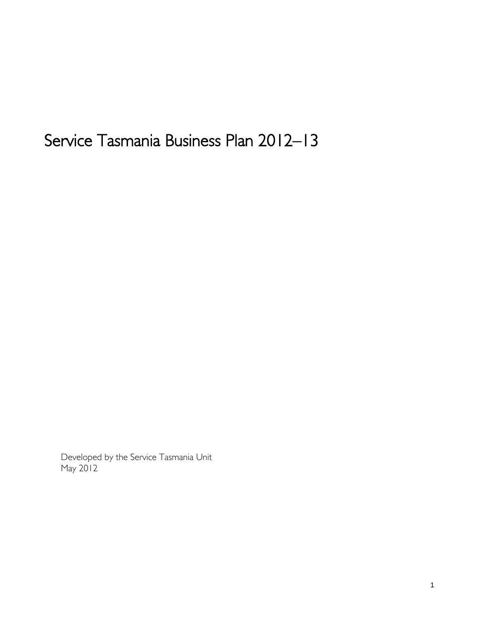# Service Tasmania Business Plan 2012–13

Developed by the Service Tasmania Unit May 2012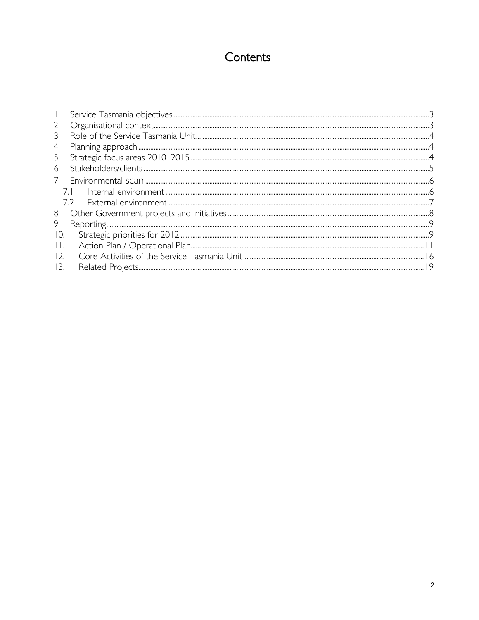# Contents

| Ι.      |  |
|---------|--|
| 2.      |  |
| 3.      |  |
| 4.      |  |
| 5.      |  |
| 6.      |  |
|         |  |
|         |  |
|         |  |
| 8.      |  |
| 9.      |  |
| 10.     |  |
| $\prod$ |  |
| 12.     |  |
| 13.     |  |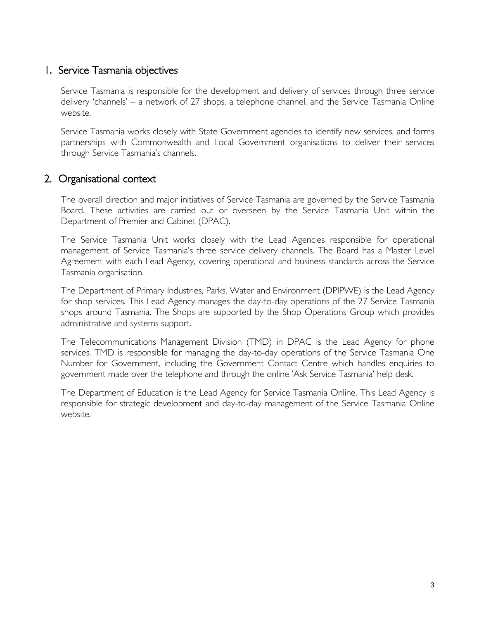#### <span id="page-2-0"></span>1. Service Tasmania objectives

Service Tasmania is responsible for the development and delivery of services through three service delivery 'channels' – a network of 27 shops, a telephone channel, and the Service Tasmania Online website.

Service Tasmania works closely with State Government agencies to identify new services, and forms partnerships with Commonwealth and Local Government organisations to deliver their services through Service Tasmania's channels.

#### <span id="page-2-1"></span>2. Organisational context

The overall direction and major initiatives of Service Tasmania are governed by the Service Tasmania Board. These activities are carried out or overseen by the Service Tasmania Unit within the Department of Premier and Cabinet (DPAC).

The Service Tasmania Unit works closely with the Lead Agencies responsible for operational management of Service Tasmania's three service delivery channels. The Board has a Master Level Agreement with each Lead Agency, covering operational and business standards across the Service Tasmania organisation.

The Department of Primary Industries, Parks, Water and Environment (DPIPWE) is the Lead Agency for shop services. This Lead Agency manages the day-to-day operations of the 27 Service Tasmania shops around Tasmania. The Shops are supported by the Shop Operations Group which provides administrative and systems support.

The Telecommunications Management Division (TMD) in DPAC is the Lead Agency for phone services. TMD is responsible for managing the day-to-day operations of the Service Tasmania One Number for Government, including the Government Contact Centre which handles enquiries to government made over the telephone and through the online 'Ask Service Tasmania' help desk.

The Department of Education is the Lead Agency for Service Tasmania Online. This Lead Agency is responsible for strategic development and day-to-day management of the Service Tasmania Online website.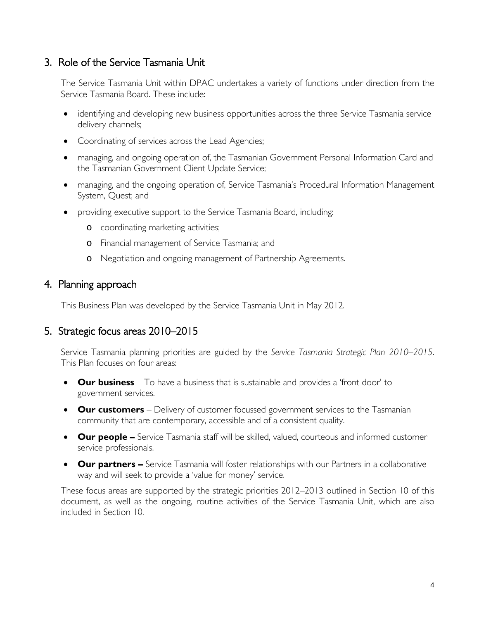#### <span id="page-3-0"></span>3. Role of the Service Tasmania Unit

The Service Tasmania Unit within DPAC undertakes a variety of functions under direction from the Service Tasmania Board. These include:

- identifying and developing new business opportunities across the three Service Tasmania service delivery channels;
- Coordinating of services across the Lead Agencies;
- managing, and ongoing operation of, the Tasmanian Government Personal Information Card and the Tasmanian Government Client Update Service;
- managing, and the ongoing operation of, Service Tasmania's Procedural Information Management System, Quest; and
- providing executive support to the Service Tasmania Board, including:
	- o coordinating marketing activities;
	- o Financial management of Service Tasmania; and
	- o Negotiation and ongoing management of Partnership Agreements.

#### <span id="page-3-1"></span>4. Planning approach

This Business Plan was developed by the Service Tasmania Unit in May 2012.

#### <span id="page-3-2"></span>5. Strategic focus areas 2010–2015

Service Tasmania planning priorities are guided by the *Service Tasmania Strategic Plan 2010–2015*. This Plan focuses on four areas:

- **Our business** To have a business that is sustainable and provides a 'front door' to government services.
- **Our customers** Delivery of customer focussed government services to the Tasmanian community that are contemporary, accessible and of a consistent quality.
- **Our people** Service Tasmania staff will be skilled, valued, courteous and informed customer service professionals.
- **Our partners –** Service Tasmania will foster relationships with our Partners in a collaborative way and will seek to provide a 'value for money' service.

These focus areas are supported by the strategic priorities 2012–2013 outlined in Section [10](#page-8-1) of this document, as well as the ongoing, routine activities of the Service Tasmania Unit, which are also included in Section [10.](#page-8-1)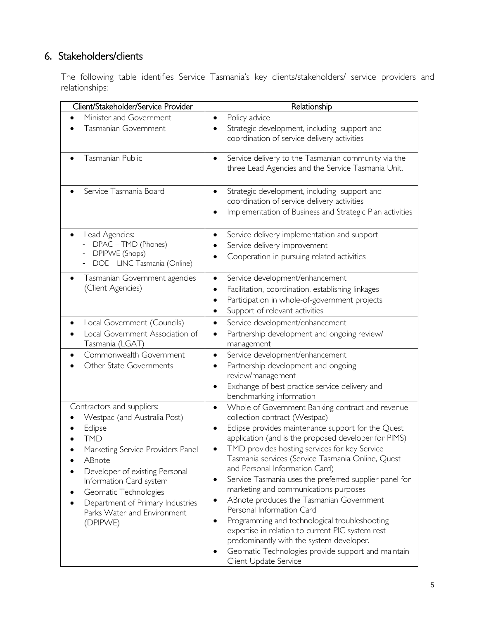# <span id="page-4-0"></span>6. Stakeholders/clients

The following table identifies Service Tasmania's key clients/stakeholders/ service providers and relationships:

| Client/Stakeholder/Service Provider                                                                                                                                                                                                                                                                     | Relationship                                                                                                                                                                                                                                                                                                                                                                                                                                                                                                                                                                                                                                                                                                                                                     |
|---------------------------------------------------------------------------------------------------------------------------------------------------------------------------------------------------------------------------------------------------------------------------------------------------------|------------------------------------------------------------------------------------------------------------------------------------------------------------------------------------------------------------------------------------------------------------------------------------------------------------------------------------------------------------------------------------------------------------------------------------------------------------------------------------------------------------------------------------------------------------------------------------------------------------------------------------------------------------------------------------------------------------------------------------------------------------------|
| Minister and Government<br>Tasmanian Government                                                                                                                                                                                                                                                         | Policy advice<br>٠<br>Strategic development, including support and<br>coordination of service delivery activities                                                                                                                                                                                                                                                                                                                                                                                                                                                                                                                                                                                                                                                |
| Tasmanian Public                                                                                                                                                                                                                                                                                        | Service delivery to the Tasmanian community via the<br>٠<br>three Lead Agencies and the Service Tasmania Unit.                                                                                                                                                                                                                                                                                                                                                                                                                                                                                                                                                                                                                                                   |
| Service Tasmania Board                                                                                                                                                                                                                                                                                  | Strategic development, including support and<br>$\bullet$<br>coordination of service delivery activities<br>Implementation of Business and Strategic Plan activities                                                                                                                                                                                                                                                                                                                                                                                                                                                                                                                                                                                             |
| Lead Agencies:<br>DPAC - TMD (Phones)<br>DPIPWE (Shops)<br>DOE - LINC Tasmania (Online)                                                                                                                                                                                                                 | Service delivery implementation and support<br>٠<br>Service delivery improvement<br>Cooperation in pursuing related activities                                                                                                                                                                                                                                                                                                                                                                                                                                                                                                                                                                                                                                   |
| Tasmanian Government agencies<br>(Client Agencies)                                                                                                                                                                                                                                                      | Service development/enhancement<br>Facilitation, coordination, establishing linkages<br>Participation in whole-of-government projects<br>Support of relevant activities<br>٠                                                                                                                                                                                                                                                                                                                                                                                                                                                                                                                                                                                     |
| Local Government (Councils)<br>Local Government Association of<br>Tasmania (LGAT)                                                                                                                                                                                                                       | Service development/enhancement<br>$\bullet$<br>Partnership development and ongoing review/<br>٠<br>management                                                                                                                                                                                                                                                                                                                                                                                                                                                                                                                                                                                                                                                   |
| Commonwealth Government<br>Other State Governments                                                                                                                                                                                                                                                      | Service development/enhancement<br>$\bullet$<br>Partnership development and ongoing<br>review/management<br>Exchange of best practice service delivery and<br>benchmarking information                                                                                                                                                                                                                                                                                                                                                                                                                                                                                                                                                                           |
| Contractors and suppliers:<br>Westpac (and Australia Post)<br>Eclipse<br><b>TMD</b><br>Marketing Service Providers Panel<br>ABnote<br>Developer of existing Personal<br>Information Card system<br>Geomatic Technologies<br>Department of Primary Industries<br>Parks Water and Environment<br>(DPIPWE) | Whole of Government Banking contract and revenue<br>$\bullet$<br>collection contract (Westpac)<br>Eclipse provides maintenance support for the Quest<br>application (and is the proposed developer for PIMS)<br>TMD provides hosting services for key Service<br>Tasmania services (Service Tasmania Online, Quest<br>and Personal Information Card)<br>Service Tasmania uses the preferred supplier panel for<br>marketing and communications purposes<br>ABnote produces the Tasmanian Government<br>Personal Information Card<br>Programming and technological troubleshooting<br>expertise in relation to current PIC system rest<br>predominantly with the system developer.<br>Geomatic Technologies provide support and maintain<br>Client Update Service |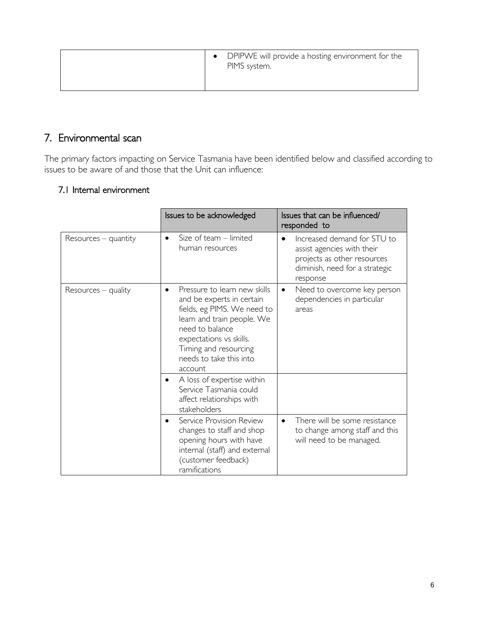| DPIPWE will provide a hosting environment for the<br>PIMS system. |  |
|-------------------------------------------------------------------|--|
|                                                                   |  |

### <span id="page-5-0"></span>7. Environmental scan

The primary factors impacting on Service Tasmania have been identified below and classified according to issues to be aware of and those that the Unit can influence:

#### <span id="page-5-1"></span>7.1 Internal environment

|                        | Issues to be acknowledged                                                                                                                                                                                                           | Issues that can be influenced/<br>responded to                                                                                                      |
|------------------------|-------------------------------------------------------------------------------------------------------------------------------------------------------------------------------------------------------------------------------------|-----------------------------------------------------------------------------------------------------------------------------------------------------|
| $Resources - quantity$ | Size of team $-$ limited<br>٠<br>human resources                                                                                                                                                                                    | Increased demand for STU to<br>$\bullet$<br>assist agencies with their<br>projects as other resources<br>diminish, need for a strategic<br>response |
| $Resources - quality$  | Pressure to learn new skills<br>and be experts in certain<br>fields, eg PIMS. We need to<br>learn and train people. We<br>need to balance<br>expectations vs skills.<br>Timing and resourcing<br>needs to take this into<br>account | Need to overcome key person<br>٠<br>dependencies in particular<br>areas                                                                             |
|                        | A loss of expertise within<br>Service Tasmania could<br>affect relationships with<br>stakeholders                                                                                                                                   |                                                                                                                                                     |
|                        | Service Provision Review<br>$\bullet$<br>changes to staff and shop<br>opening hours with have<br>internal (staff) and external<br>(customer feedback)<br>ramifications                                                              | There will be some resistance<br>$\bullet$<br>to change among staff and this<br>will need to be managed.                                            |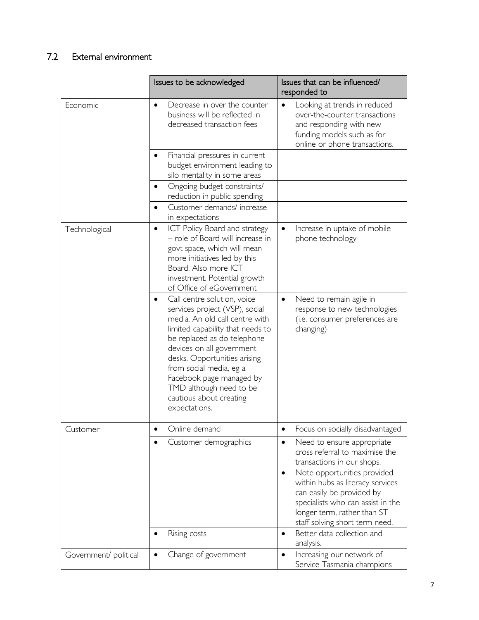## <span id="page-6-0"></span>7.2 External environment

|                       | Issues to be acknowledged                                                                                                                                                                                                                                                                                                                                     | Issues that can be influenced/<br>responded to                                                                                                                                                                                                                                                                                              |
|-----------------------|---------------------------------------------------------------------------------------------------------------------------------------------------------------------------------------------------------------------------------------------------------------------------------------------------------------------------------------------------------------|---------------------------------------------------------------------------------------------------------------------------------------------------------------------------------------------------------------------------------------------------------------------------------------------------------------------------------------------|
| Economic              | Decrease in over the counter<br>$\bullet$<br>business will be reflected in<br>decreased transaction fees                                                                                                                                                                                                                                                      | Looking at trends in reduced<br>$\bullet$<br>over-the-counter transactions<br>and responding with new<br>funding models such as for<br>online or phone transactions.                                                                                                                                                                        |
|                       | Financial pressures in current<br>budget environment leading to<br>silo mentality in some areas                                                                                                                                                                                                                                                               |                                                                                                                                                                                                                                                                                                                                             |
|                       | Ongoing budget constraints/<br>reduction in public spending                                                                                                                                                                                                                                                                                                   |                                                                                                                                                                                                                                                                                                                                             |
|                       | Customer demands/increase<br>$\bullet$<br>in expectations                                                                                                                                                                                                                                                                                                     |                                                                                                                                                                                                                                                                                                                                             |
| Technological         | <b>ICT Policy Board and strategy</b><br>$\bullet$<br>- role of Board will increase in<br>govt space, which will mean<br>more initiatives led by this<br>Board. Also more ICT<br>investment. Potential growth<br>of Office of eGovernment                                                                                                                      | Increase in uptake of mobile<br>$\bullet$<br>phone technology                                                                                                                                                                                                                                                                               |
|                       | Call centre solution, voice<br>services project (VSP), social<br>media. An old call centre with<br>limited capability that needs to<br>be replaced as do telephone<br>devices on all government<br>desks. Opportunities arising<br>from social media, eg a<br>Facebook page managed by<br>TMD although need to be<br>cautious about creating<br>expectations. | Need to remain agile in<br>$\bullet$<br>response to new technologies<br>(i.e. consumer preferences are<br>changing)                                                                                                                                                                                                                         |
| Customer              | Online demand                                                                                                                                                                                                                                                                                                                                                 | Focus on socially disadvantaged<br>٠                                                                                                                                                                                                                                                                                                        |
|                       | Customer demographics                                                                                                                                                                                                                                                                                                                                         | Need to ensure appropriate<br>$\bullet$<br>cross referral to maximise the<br>transactions in our shops.<br>Note opportunities provided<br>within hubs as literacy services<br>can easily be provided by<br>specialists who can assist in the<br>longer term, rather than ST<br>staff solving short term need.<br>Better data collection and |
|                       | Rising costs<br>$\bullet$                                                                                                                                                                                                                                                                                                                                     | $\bullet$<br>analysis.                                                                                                                                                                                                                                                                                                                      |
| Government/ political | Change of government                                                                                                                                                                                                                                                                                                                                          | Increasing our network of<br>$\bullet$<br>Service Tasmania champions                                                                                                                                                                                                                                                                        |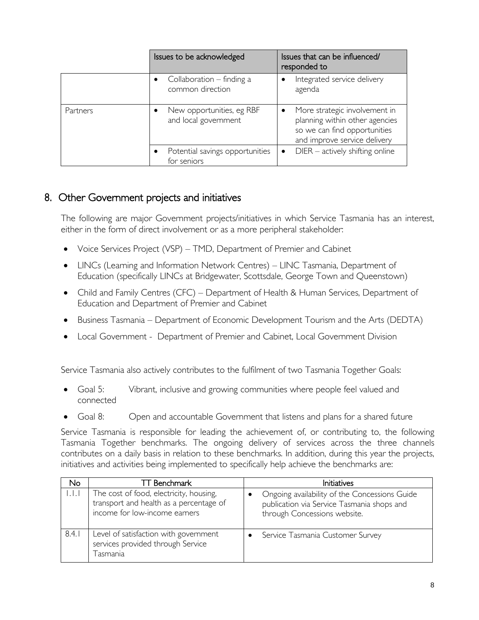|          | Issues to be acknowledged                         | Issues that can be influenced/<br>responded to                                                                                  |
|----------|---------------------------------------------------|---------------------------------------------------------------------------------------------------------------------------------|
|          | Collaboration $-$ finding a<br>common direction   | Integrated service delivery<br>agenda                                                                                           |
| Partners | New opportunities, eg RBF<br>and local government | More strategic involvement in<br>planning within other agencies<br>so we can find opportunities<br>and improve service delivery |
|          | Potential savings opportunities<br>for seniors    | $DIER - \text{actively shifting online}$                                                                                        |

### <span id="page-7-0"></span>8. Other Government projects and initiatives

The following are major Government projects/initiatives in which Service Tasmania has an interest, either in the form of direct involvement or as a more peripheral stakeholder:

- Voice Services Project (VSP) TMD, Department of Premier and Cabinet
- LINCs (Learning and Information Network Centres) LINC Tasmania, Department of Education (specifically LINCs at Bridgewater, Scottsdale, George Town and Queenstown)
- Child and Family Centres (CFC) Department of Health & Human Services, Department of Education and Department of Premier and Cabinet
- Business Tasmania Department of Economic Development Tourism and the Arts (DEDTA)
- Local Government Department of Premier and Cabinet, Local Government Division

Service Tasmania also actively contributes to the fulfilment of two Tasmania Together Goals:

- Goal 5: Vibrant, inclusive and growing communities where people feel valued and connected
- Goal 8: Open and accountable Government that listens and plans for a shared future

Service Tasmania is responsible for leading the achievement of, or contributing to, the following Tasmania Together benchmarks. The ongoing delivery of services across the three channels contributes on a daily basis in relation to these benchmarks. In addition, during this year the projects, initiatives and activities being implemented to specifically help achieve the benchmarks are:

| No.     | IT Benchmark                                                                                                        | Initiatives                                                                                                                 |
|---------|---------------------------------------------------------------------------------------------------------------------|-----------------------------------------------------------------------------------------------------------------------------|
| r. E. F | The cost of food, electricity, housing,<br>transport and health as a percentage of<br>income for low-income earners | Ongoing availability of the Concessions Guide<br>publication via Service Tasmania shops and<br>through Concessions website. |
| 8.4.1   | Level of satisfaction with government<br>services provided through Service<br>Tasmania                              | Service Tasmania Customer Survey                                                                                            |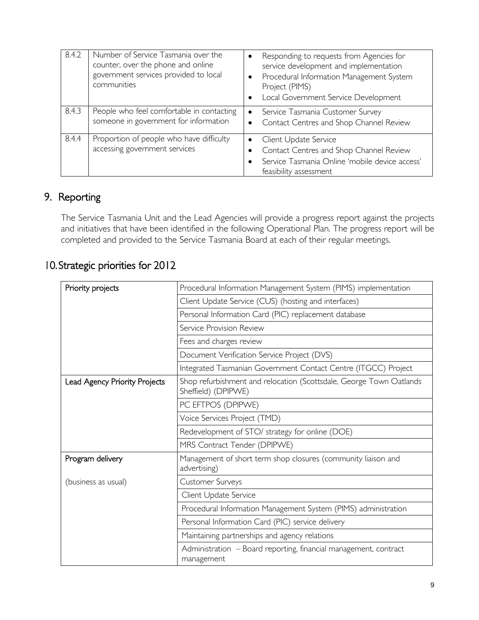| 8.4.2 | Number of Service Tasmania over the<br>counter, over the phone and online<br>government services provided to local<br>communities | Responding to requests from Agencies for<br>service development and implementation<br>Procedural Information Management System<br>$\bullet$<br>Project (PIMS)<br>Local Government Service Development<br>$\bullet$ |
|-------|-----------------------------------------------------------------------------------------------------------------------------------|--------------------------------------------------------------------------------------------------------------------------------------------------------------------------------------------------------------------|
| 8.4.3 | People who feel comfortable in contacting<br>someone in government for information                                                | Service Tasmania Customer Survey<br>$\bullet$<br>Contact Centres and Shop Channel Review<br>$\bullet$                                                                                                              |
| 8.4.4 | Proportion of people who have difficulty<br>accessing government services                                                         | Client Update Service<br>Contact Centres and Shop Channel Review<br>Service Tasmania Online 'mobile device access'<br>feasibility assessment                                                                       |

# <span id="page-8-0"></span>9. Reporting

The Service Tasmania Unit and the Lead Agencies will provide a progress report against the projects and initiatives that have been identified in the following Operational Plan. The progress report will be completed and provided to the Service Tasmania Board at each of their regular meetings.

## <span id="page-8-1"></span>10.Strategic priorities for 2012

| Priority projects             | Procedural Information Management System (PIMS) implementation                             |  |  |
|-------------------------------|--------------------------------------------------------------------------------------------|--|--|
|                               | Client Update Service (CUS) (hosting and interfaces)                                       |  |  |
|                               | Personal Information Card (PIC) replacement database                                       |  |  |
|                               | Service Provision Review                                                                   |  |  |
|                               | Fees and charges review                                                                    |  |  |
|                               | Document Verification Service Project (DVS)                                                |  |  |
|                               | Integrated Tasmanian Government Contact Centre (ITGCC) Project                             |  |  |
| Lead Agency Priority Projects | Shop refurbishment and relocation (Scottsdale, George Town Oatlands<br>Sheffield) (DPIPWE) |  |  |
|                               | PC EFTPOS (DPIPWE)                                                                         |  |  |
|                               | Voice Services Project (TMD)                                                               |  |  |
|                               | Redevelopment of STO/ strategy for online (DOE)                                            |  |  |
|                               | MRS Contract Tender (DPIPWE)                                                               |  |  |
| Program delivery              | Management of short term shop closures (community liaison and<br>advertising)              |  |  |
| (business as usual)           | Customer Surveys                                                                           |  |  |
|                               | Client Update Service                                                                      |  |  |
|                               | Procedural Information Management System (PIMS) administration                             |  |  |
|                               | Personal Information Card (PIC) service delivery                                           |  |  |
|                               | Maintaining partnerships and agency relations                                              |  |  |
|                               | Administration - Board reporting, financial management, contract<br>management             |  |  |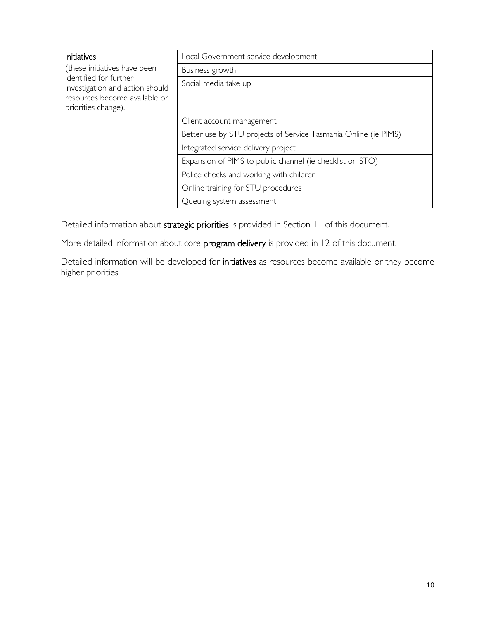| <b>Initiatives</b>                                                                                                | Local Government service development                            |  |  |
|-------------------------------------------------------------------------------------------------------------------|-----------------------------------------------------------------|--|--|
| (these initiatives have been                                                                                      | Business growth                                                 |  |  |
| identified for further<br>investigation and action should<br>resources become available or<br>priorities change). | Social media take up                                            |  |  |
|                                                                                                                   | Client account management                                       |  |  |
|                                                                                                                   | Better use by STU projects of Service Tasmania Online (ie PIMS) |  |  |
|                                                                                                                   | Integrated service delivery project                             |  |  |
|                                                                                                                   | Expansion of PIMS to public channel (ie checklist on STO)       |  |  |
|                                                                                                                   | Police checks and working with children                         |  |  |
|                                                                                                                   | Online training for STU procedures                              |  |  |
|                                                                                                                   | Queuing system assessment                                       |  |  |

Detailed information about strategic priorities is provided in Section [11](#page-10-0) of this document.

More detailed information about core program delivery is provided in 12 of this document.

Detailed information will be developed for initiatives as resources become available or they become higher priorities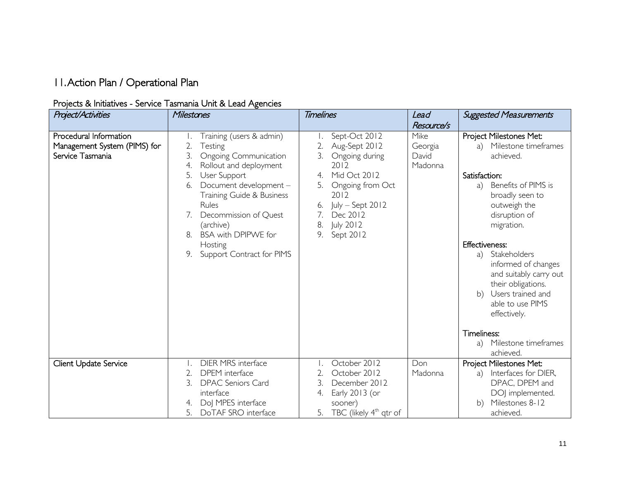# 11.Action Plan / Operational Plan

#### Projects & Initiatives - Service Tasmania Unit & Lead Agencies

<span id="page-10-0"></span>

| Project/Activities                                                         | Milestones                                                                                                                                                                                                                                                                                                                                | <b>Timelines</b>                                                                                                                                                                                         | Lead                                              | <b>Suggested Measurements</b>                                                                                                                                                                                                                                                                                                                                        |
|----------------------------------------------------------------------------|-------------------------------------------------------------------------------------------------------------------------------------------------------------------------------------------------------------------------------------------------------------------------------------------------------------------------------------------|----------------------------------------------------------------------------------------------------------------------------------------------------------------------------------------------------------|---------------------------------------------------|----------------------------------------------------------------------------------------------------------------------------------------------------------------------------------------------------------------------------------------------------------------------------------------------------------------------------------------------------------------------|
| Procedural Information<br>Management System (PIMS) for<br>Service Tasmania | Training (users & admin)<br>2.<br>Testing<br>3.<br><b>Ongoing Communication</b><br>4.<br>Rollout and deployment<br>5.<br>User Support<br>Document development -<br>6.<br>Training Guide & Business<br>Rules<br>Decommission of Quest<br>7.<br>(archive)<br><b>BSA with DPIPWE for</b><br>8.<br>Hosting<br>Support Contract for PIMS<br>9. | Sept-Oct 2012<br>2.<br>Aug-Sept 2012<br>3.<br>Ongoing during<br>2012<br>Mid Oct 2012<br>4.<br>Ongoing from Oct<br>2012<br>July - Sept 2012<br>6.<br>7.<br>Dec 2012<br>July 2012<br>8.<br>9.<br>Sept 2012 | Resource/s<br>Mike<br>Georgia<br>David<br>Madonna | Project Milestones Met:<br>Milestone timeframes<br>a)<br>achieved.<br>Satisfaction:<br>Benefits of PIMS is<br>a)<br>broadly seen to<br>outweigh the<br>disruption of<br>migration.<br><b>Effectiveness:</b><br>Stakeholders<br>a)<br>informed of changes<br>and suitably carry out<br>their obligations.<br>b) Users trained and<br>able to use PIMS<br>effectively. |
|                                                                            |                                                                                                                                                                                                                                                                                                                                           |                                                                                                                                                                                                          |                                                   | Timeliness:<br>Milestone timeframes<br>a)<br>achieved.                                                                                                                                                                                                                                                                                                               |
| Client Update Service                                                      | <b>DIER MRS</b> interface<br>2.<br><b>DPEM</b> interface<br><b>DPAC Seniors Card</b><br>interface<br>DoJ MPES interface<br>4.<br>DoTAF SRO interface<br>5.                                                                                                                                                                                | October 2012<br>2.<br>October 2012<br>3.<br>December 2012<br>Early 2013 (or<br>4.<br>sooner)<br>TBC (likely 4 <sup>th</sup> qtr of<br>5.                                                                 | Don<br>Madonna                                    | Project Milestones Met:<br>Interfaces for DIER,<br>a)<br>DPAC, DPEM and<br>DOJ implemented.<br>Milestones 8-12<br>b)<br>achieved.                                                                                                                                                                                                                                    |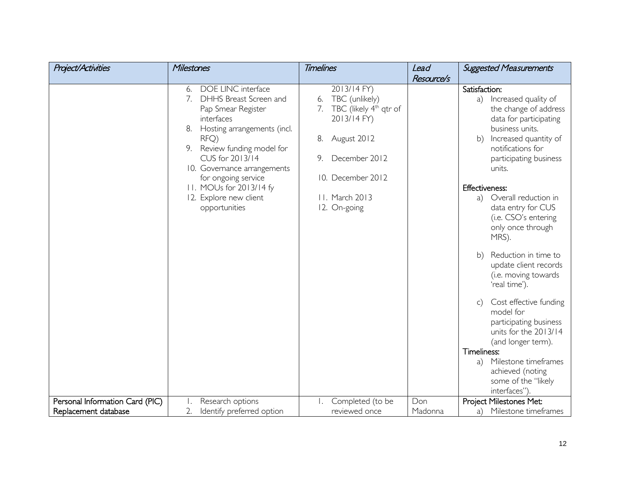| <b>Project/Activities</b>       | Milestones                                                                                                                                                                                                                                                                                                           | <b>Timelines</b>                                                                                                                                                                                  | Lead       | <b>Suggested Measurements</b>                                                                                                                                                                                                                                                                                                                                                                                                                                                                                                                                                                                                                                        |
|---------------------------------|----------------------------------------------------------------------------------------------------------------------------------------------------------------------------------------------------------------------------------------------------------------------------------------------------------------------|---------------------------------------------------------------------------------------------------------------------------------------------------------------------------------------------------|------------|----------------------------------------------------------------------------------------------------------------------------------------------------------------------------------------------------------------------------------------------------------------------------------------------------------------------------------------------------------------------------------------------------------------------------------------------------------------------------------------------------------------------------------------------------------------------------------------------------------------------------------------------------------------------|
|                                 |                                                                                                                                                                                                                                                                                                                      |                                                                                                                                                                                                   | Resource/s |                                                                                                                                                                                                                                                                                                                                                                                                                                                                                                                                                                                                                                                                      |
|                                 | DOE LINC interface<br>6.<br>DHHS Breast Screen and<br>7.<br>Pap Smear Register<br>interfaces<br>Hosting arrangements (incl.<br>8.<br>RFQ)<br>Review funding model for<br>CUS for 2013/14<br>10. Governance arrangements<br>for ongoing service<br>11. MOUs for 2013/14 fy<br>12. Explore new client<br>opportunities | 2013/14 FY)<br>TBC (unlikely)<br>6.<br>TBC (likely 4 <sup>th</sup> qtr of<br>7.<br>2013/14 FY)<br>August 2012<br>8.<br>December 2012<br>9.<br>10. December 2012<br>11. March 2013<br>12. On-going |            | Satisfaction:<br>Increased quality of<br>a)<br>the change of address<br>data for participating<br>business units.<br>Increased quantity of<br>b)<br>notifications for<br>participating business<br>units.<br><b>Effectiveness:</b><br>Overall reduction in<br>a)<br>data entry for CUS<br>(i.e. CSO's entering<br>only once through<br>MRS).<br>Reduction in time to<br>b)<br>update client records<br>(i.e. moving towards<br>'real time').<br>Cost effective funding<br>$\mathsf{C}$<br>model for<br>participating business<br>units for the 2013/14<br>(and longer term).<br>Timeliness:<br>Milestone timeframes<br>a)<br>achieved (noting<br>some of the "likely |
| Personal Information Card (PIC) | Research options                                                                                                                                                                                                                                                                                                     | Completed (to be                                                                                                                                                                                  | Don        | interfaces").<br>Project Milestones Met:                                                                                                                                                                                                                                                                                                                                                                                                                                                                                                                                                                                                                             |
|                                 |                                                                                                                                                                                                                                                                                                                      |                                                                                                                                                                                                   |            |                                                                                                                                                                                                                                                                                                                                                                                                                                                                                                                                                                                                                                                                      |
| Replacement database            | Identify preferred option<br>2.                                                                                                                                                                                                                                                                                      | reviewed once                                                                                                                                                                                     | Madonna    | Milestone timeframes<br>a)                                                                                                                                                                                                                                                                                                                                                                                                                                                                                                                                                                                                                                           |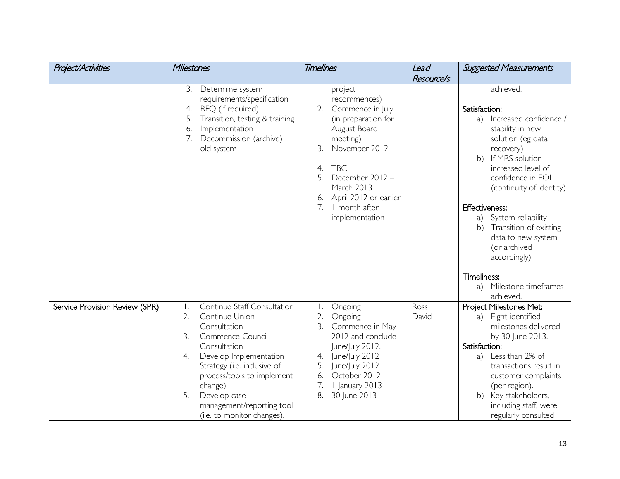| <b>Project/Activities</b>      | Milestones                                                                                                                                                                                                                                                                                                   | <b>Timelines</b>                                                                                                                                                                                                                                              | Lead          | <b>Suggested Measurements</b>                                                                                                                                                                                                                                                                                                                                                  |
|--------------------------------|--------------------------------------------------------------------------------------------------------------------------------------------------------------------------------------------------------------------------------------------------------------------------------------------------------------|---------------------------------------------------------------------------------------------------------------------------------------------------------------------------------------------------------------------------------------------------------------|---------------|--------------------------------------------------------------------------------------------------------------------------------------------------------------------------------------------------------------------------------------------------------------------------------------------------------------------------------------------------------------------------------|
|                                |                                                                                                                                                                                                                                                                                                              |                                                                                                                                                                                                                                                               | Resource/s    |                                                                                                                                                                                                                                                                                                                                                                                |
|                                | 3.<br>Determine system<br>requirements/specification<br>RFQ (if required)<br>4.<br>Transition, testing & training<br>5.<br>Implementation<br>6.<br>7.<br>Decommission (archive)<br>old system                                                                                                                | project<br>recommences)<br>Commence in July<br>2.<br>(in preparation for<br>August Board<br>meeting)<br>November 2012<br>3.<br><b>TBC</b><br>4.<br>5.<br>December 2012-<br>March 2013<br>April 2012 or earlier<br>6.<br>7.<br>I month after<br>implementation |               | achieved.<br>Satisfaction:<br>Increased confidence /<br>a)<br>stability in new<br>solution (eg data<br>recovery)<br>If MRS solution $=$<br>b)<br>increased level of<br>confidence in EOI<br>(continuity of identity)<br><b>Effectiveness:</b><br>System reliability<br>a)<br>Transition of existing<br>b)<br>data to new system<br>(or archived<br>accordingly)<br>Timeliness: |
|                                |                                                                                                                                                                                                                                                                                                              |                                                                                                                                                                                                                                                               |               | Milestone timeframes<br>a)<br>achieved.                                                                                                                                                                                                                                                                                                                                        |
| Service Provision Review (SPR) | Continue Staff Consultation<br>Τ.<br>2.<br>Continue Union<br>Consultation<br>3.<br>Commence Council<br>Consultation<br>Develop Implementation<br>4.<br>Strategy (i.e. inclusive of<br>process/tools to implement<br>change).<br>5.<br>Develop case<br>management/reporting tool<br>(i.e. to monitor changes) | Ongoing<br>2.<br>Ongoing<br>3.<br>Commence in May<br>2012 and conclude<br>June/July 2012.<br>June/July 2012<br>5.<br>June/July 2012<br>October 2012<br>6.<br>7.<br>I January 2013<br>8.<br>30 June 2013                                                       | Ross<br>David | Project Milestones Met:<br>Eight identified<br>a)<br>milestones delivered<br>by 30 June 2013.<br>Satisfaction:<br>Less than 2% of<br>a)<br>transactions result in<br>customer complaints<br>(per region).<br>b) Key stakeholders,<br>including staff, were<br>regularly consulted                                                                                              |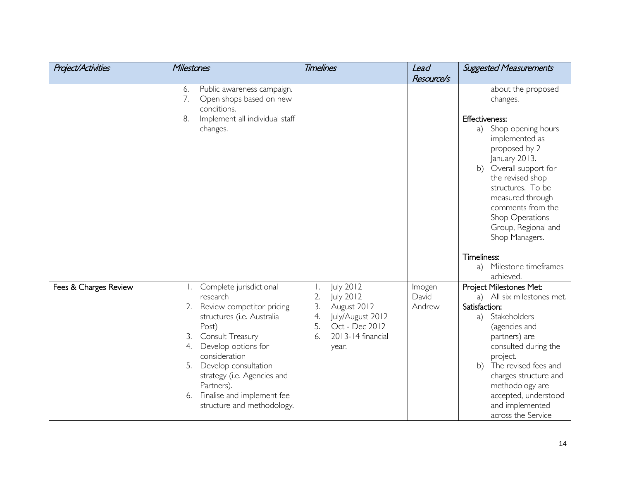| <b>Project/Activities</b> | Milestones                                                                                                                                                                                                                                                                                                                   | <b>Timelines</b>                                                                                                                              | Lead                      | <b>Suggested Measurements</b>                                                                                                                                                                                                                                                                              |
|---------------------------|------------------------------------------------------------------------------------------------------------------------------------------------------------------------------------------------------------------------------------------------------------------------------------------------------------------------------|-----------------------------------------------------------------------------------------------------------------------------------------------|---------------------------|------------------------------------------------------------------------------------------------------------------------------------------------------------------------------------------------------------------------------------------------------------------------------------------------------------|
|                           |                                                                                                                                                                                                                                                                                                                              |                                                                                                                                               | Resource/s                |                                                                                                                                                                                                                                                                                                            |
|                           | Public awareness campaign.<br>6.<br>7.<br>Open shops based on new<br>conditions.                                                                                                                                                                                                                                             |                                                                                                                                               |                           | about the proposed<br>changes.                                                                                                                                                                                                                                                                             |
|                           | 8.<br>Implement all individual staff<br>changes.                                                                                                                                                                                                                                                                             |                                                                                                                                               |                           | Effectiveness:<br>Shop opening hours<br>a)<br>implemented as<br>proposed by 2<br>January 2013.<br>b) Overall support for<br>the revised shop<br>structures. To be<br>measured through<br>comments from the<br>Shop Operations<br>Group, Regional and<br>Shop Managers.                                     |
|                           |                                                                                                                                                                                                                                                                                                                              |                                                                                                                                               |                           | Timeliness:<br>Milestone timeframes<br>a)<br>achieved.                                                                                                                                                                                                                                                     |
| Fees & Charges Review     | Complete jurisdictional<br>research<br>Review competitor pricing<br>2.<br>structures (i.e. Australia<br>Post)<br>Consult Treasury<br>3.<br>Develop options for<br>4.<br>consideration<br>Develop consultation<br>5.<br>strategy (i.e. Agencies and<br>Partners).<br>Finalise and implement fee<br>structure and methodology. | July 2012<br>Ι.<br>2.<br>July 2012<br>3.<br>August 2012<br>4.<br>July/August 2012<br>5.<br>Oct - Dec 2012<br>2013-14 financial<br>6.<br>year. | Imogen<br>David<br>Andrew | Project Milestones Met:<br>a) All six milestones met.<br>Satisfaction:<br>Stakeholders<br>a)<br>(agencies and<br>partners) are<br>consulted during the<br>project.<br>b) The revised fees and<br>charges structure and<br>methodology are<br>accepted, understood<br>and implemented<br>across the Service |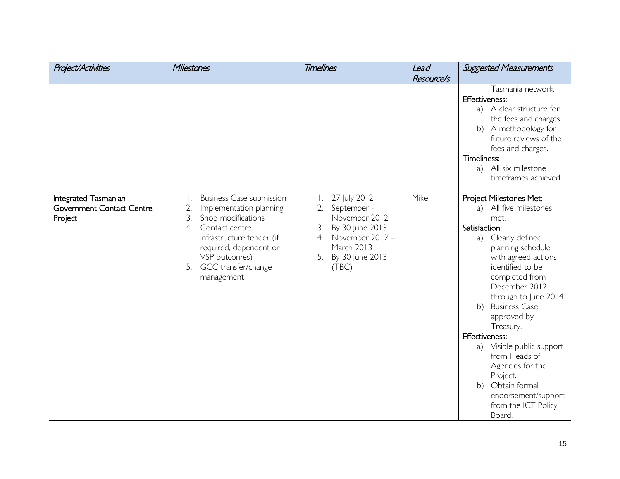| <b>Project/Activities</b>                                    | Milestones                                                                                                                                                                                                                                    | <b>Timelines</b>                                                                                                                                    | Lead       | <b>Suggested Measurements</b>                                                                                                                                                                                                                                                                                                                                                                                                                                      |
|--------------------------------------------------------------|-----------------------------------------------------------------------------------------------------------------------------------------------------------------------------------------------------------------------------------------------|-----------------------------------------------------------------------------------------------------------------------------------------------------|------------|--------------------------------------------------------------------------------------------------------------------------------------------------------------------------------------------------------------------------------------------------------------------------------------------------------------------------------------------------------------------------------------------------------------------------------------------------------------------|
|                                                              |                                                                                                                                                                                                                                               |                                                                                                                                                     | Resource/s |                                                                                                                                                                                                                                                                                                                                                                                                                                                                    |
|                                                              |                                                                                                                                                                                                                                               |                                                                                                                                                     |            | Tasmania network.<br>Effectiveness:<br>a) A clear structure for<br>the fees and charges.<br>b) A methodology for<br>future reviews of the<br>fees and charges.<br>Timeliness:<br>a) All six milestone<br>timeframes achieved.                                                                                                                                                                                                                                      |
| Integrated Tasmanian<br>Government Contact Centre<br>Project | <b>Business Case submission</b><br>Ι.<br>2.<br>Implementation planning<br>3.<br>Shop modifications<br>4.<br>Contact centre<br>infrastructure tender (if<br>required, dependent on<br>VSP outcomes)<br>GCC transfer/change<br>5.<br>management | 27 July 2012<br>September -<br>2.<br>November 2012<br>3.<br>By 30 June 2013<br>November 2012-<br>4.<br>March 2013<br>By 30 June 2013<br>5.<br>(TBC) | Mike       | Project Milestones Met:<br>a) All five milestones<br>met.<br>Satisfaction:<br>a) Clearly defined<br>planning schedule<br>with agreed actions<br>identified to be<br>completed from<br>December 2012<br>through to June 2014.<br><b>Business Case</b><br>b)<br>approved by<br>Treasury.<br>Effectiveness:<br>a) Visible public support<br>from Heads of<br>Agencies for the<br>Project.<br>b) Obtain formal<br>endorsement/support<br>from the ICT Policy<br>Board. |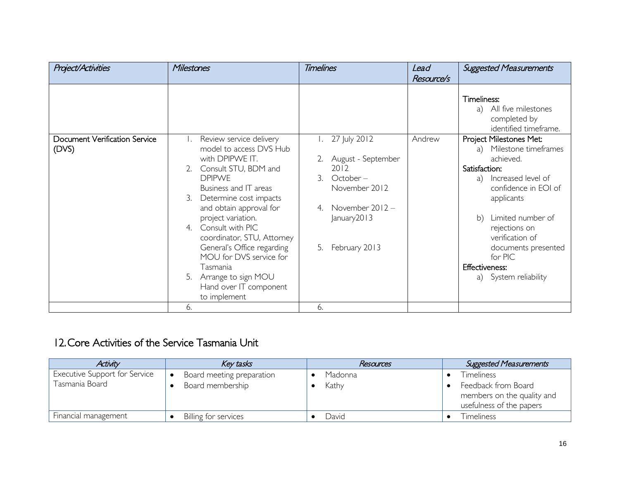| <b>Project/Activities</b>              | <b>Milestones</b>                                                                                                                                                                                                                                                                                                                                                                                                           | <b>Timelines</b>                                                                                                                                 | Lead       | <b>Suggested Measurements</b>                                                                                                                                                                                                                                                                            |
|----------------------------------------|-----------------------------------------------------------------------------------------------------------------------------------------------------------------------------------------------------------------------------------------------------------------------------------------------------------------------------------------------------------------------------------------------------------------------------|--------------------------------------------------------------------------------------------------------------------------------------------------|------------|----------------------------------------------------------------------------------------------------------------------------------------------------------------------------------------------------------------------------------------------------------------------------------------------------------|
|                                        |                                                                                                                                                                                                                                                                                                                                                                                                                             |                                                                                                                                                  | Resource/s |                                                                                                                                                                                                                                                                                                          |
|                                        |                                                                                                                                                                                                                                                                                                                                                                                                                             |                                                                                                                                                  |            | Timeliness:<br>All five milestones<br>a)<br>completed by<br>identified timeframe.                                                                                                                                                                                                                        |
| Document Verification Service<br>(DVS) | Review service delivery<br>model to access DVS Hub<br>with DPIPWE IT.<br>Consult STU, BDM and<br><b>DPIPWE</b><br>Business and IT areas<br>Determine cost impacts<br>3.<br>and obtain approval for<br>project variation.<br>Consult with PIC<br>4<br>coordinator, STU, Attorney<br>General's Office regarding<br>MOU for DVS service for<br>Tasmania<br>Arrange to sign MOU<br>5.<br>Hand over IT component<br>to implement | 27 July 2012<br>August - September<br>2012<br>3<br>$October -$<br>November 2012<br>November $2012 -$<br>4<br>January 2013<br>February 2013<br>5. | Andrew     | Project Milestones Met:<br>Milestone timeframes<br>a)<br>achieved.<br>Satisfaction:<br>Increased level of<br>a)<br>confidence in EOI of<br>applicants<br>Limited number of<br>b)<br>rejections on<br>verification of<br>documents presented<br>for PIC<br><b>Effectiveness:</b><br>a) System reliability |
|                                        | 6.                                                                                                                                                                                                                                                                                                                                                                                                                          | 6.                                                                                                                                               |            |                                                                                                                                                                                                                                                                                                          |

# 12.Core Activities of the Service Tasmania Unit

<span id="page-15-0"></span>

| Activity                      | Key tasks                 | Resources | <b>Suggested Measurements</b>                                                 |
|-------------------------------|---------------------------|-----------|-------------------------------------------------------------------------------|
| Executive Support for Service | Board meeting preparation | Madonna   | <b>Timeliness</b>                                                             |
| Tasmania Board                | Board membership          | Kathy     | Feedback from Board<br>members on the quality and<br>usefulness of the papers |
| Financial management          | Billing for services      | David     | Timeliness                                                                    |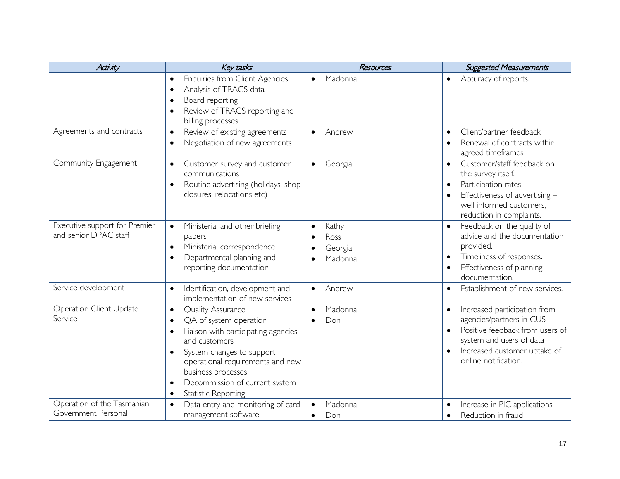| <b>Activity</b>                                        | Key tasks                                                                                                                                                                                                                                                                                                                          | Resources                           | <b>Suggested Measurements</b>                                                                                                                                                   |
|--------------------------------------------------------|------------------------------------------------------------------------------------------------------------------------------------------------------------------------------------------------------------------------------------------------------------------------------------------------------------------------------------|-------------------------------------|---------------------------------------------------------------------------------------------------------------------------------------------------------------------------------|
|                                                        | Enquiries from Client Agencies<br>Analysis of TRACS data<br>$\bullet$<br>Board reporting<br>$\bullet$<br>Review of TRACS reporting and<br>$\bullet$<br>billing processes                                                                                                                                                           | Madonna                             | Accuracy of reports.<br>$\bullet$                                                                                                                                               |
| Agreements and contracts                               | Review of existing agreements<br>$\bullet$<br>Negotiation of new agreements<br>$\bullet$                                                                                                                                                                                                                                           | Andrew<br>$\bullet$                 | Client/partner feedback<br>$\bullet$<br>Renewal of contracts within<br>agreed timeframes                                                                                        |
| Community Engagement                                   | Customer survey and customer<br>$\bullet$<br>communications<br>Routine advertising (holidays, shop<br>$\bullet$<br>closures, relocations etc)                                                                                                                                                                                      | Georgia<br>$\bullet$                | Customer/staff feedback on<br>the survey itself.<br>Participation rates<br>Effectiveness of advertising -<br>well informed customers,<br>reduction in complaints.               |
| Executive support for Premier<br>and senior DPAC staff | Ministerial and other briefing<br>papers<br>Ministerial correspondence<br>$\bullet$<br>Departmental planning and<br>$\bullet$<br>reporting documentation                                                                                                                                                                           | Kathy<br>Ross<br>Georgia<br>Madonna | Feedback on the quality of<br>advice and the documentation<br>provided.<br>Timeliness of responses.<br>Effectiveness of planning<br>documentation.                              |
| Service development                                    | Identification, development and<br>implementation of new services                                                                                                                                                                                                                                                                  | Andrew<br>$\bullet$                 | Establishment of new services.                                                                                                                                                  |
| <b>Operation Client Update</b><br>Service              | <b>Quality Assurance</b><br>$\bullet$<br>QA of system operation<br>$\bullet$<br>Liaison with participating agencies<br>and customers<br>System changes to support<br>$\bullet$<br>operational requirements and new<br>business processes<br>Decommission of current system<br>$\bullet$<br><b>Statistic Reporting</b><br>$\bullet$ | Madonna<br>Don<br>$\bullet$         | Increased participation from<br>agencies/partners in CUS<br>Positive feedback from users of<br>system and users of data<br>Increased customer uptake of<br>online notification. |
| Operation of the Tasmanian<br>Government Personal      | Data entry and monitoring of card<br>management software                                                                                                                                                                                                                                                                           | Madonna<br>Don<br>$\bullet$         | Increase in PIC applications<br>Reduction in fraud                                                                                                                              |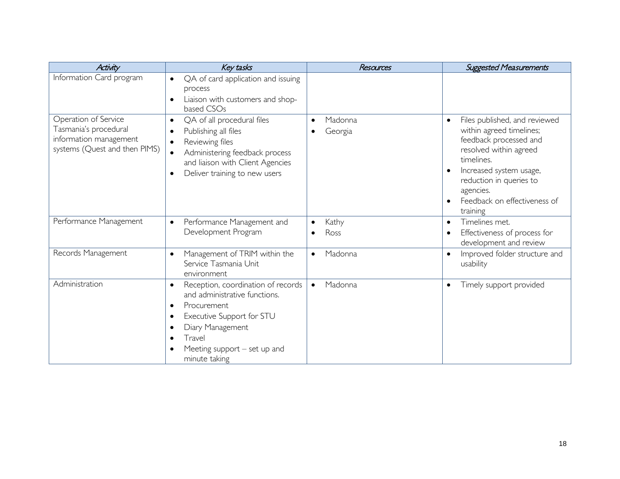| <b>Activity</b>                                                                                          | Key tasks                                                                                                                                                                                                                               | Resources                               | <b>Suggested Measurements</b>                                                                                                                                                                                                                           |
|----------------------------------------------------------------------------------------------------------|-----------------------------------------------------------------------------------------------------------------------------------------------------------------------------------------------------------------------------------------|-----------------------------------------|---------------------------------------------------------------------------------------------------------------------------------------------------------------------------------------------------------------------------------------------------------|
| Information Card program                                                                                 | QA of card application and issuing<br>$\bullet$<br>process<br>Liaison with customers and shop-<br>based CSOs                                                                                                                            |                                         |                                                                                                                                                                                                                                                         |
| Operation of Service<br>Tasmania's procedural<br>information management<br>systems (Quest and then PIMS) | QA of all procedural files<br>$\bullet$<br>Publishing all files<br>Reviewing files<br>$\bullet$<br>Administering feedback process<br>and liaison with Client Agencies<br>Deliver training to new users                                  | Madonna<br>$\bullet$<br>Georgia         | Files published, and reviewed<br>$\bullet$<br>within agreed timelines;<br>feedback processed and<br>resolved within agreed<br>timelines.<br>Increased system usage,<br>reduction in queries to<br>agencies.<br>Feedback on effectiveness of<br>training |
| Performance Management                                                                                   | Performance Management and<br>$\bullet$<br>Development Program                                                                                                                                                                          | Kathy<br>$\bullet$<br>Ross<br>$\bullet$ | Timelines met.<br>$\bullet$<br>Effectiveness of process for<br>development and review                                                                                                                                                                   |
| Records Management                                                                                       | Management of TRIM within the<br>$\bullet$<br>Service Tasmania Unit<br>environment                                                                                                                                                      | Madonna<br>$\bullet$                    | Improved folder structure and<br>usability                                                                                                                                                                                                              |
| Administration                                                                                           | Reception, coordination of records<br>$\bullet$<br>and administrative functions.<br>Procurement<br>$\bullet$<br>Executive Support for STU<br>$\bullet$<br>Diary Management<br>Travel<br>Meeting support $-$ set up and<br>minute taking | Madonna<br>$\bullet$                    | Timely support provided<br>$\bullet$                                                                                                                                                                                                                    |